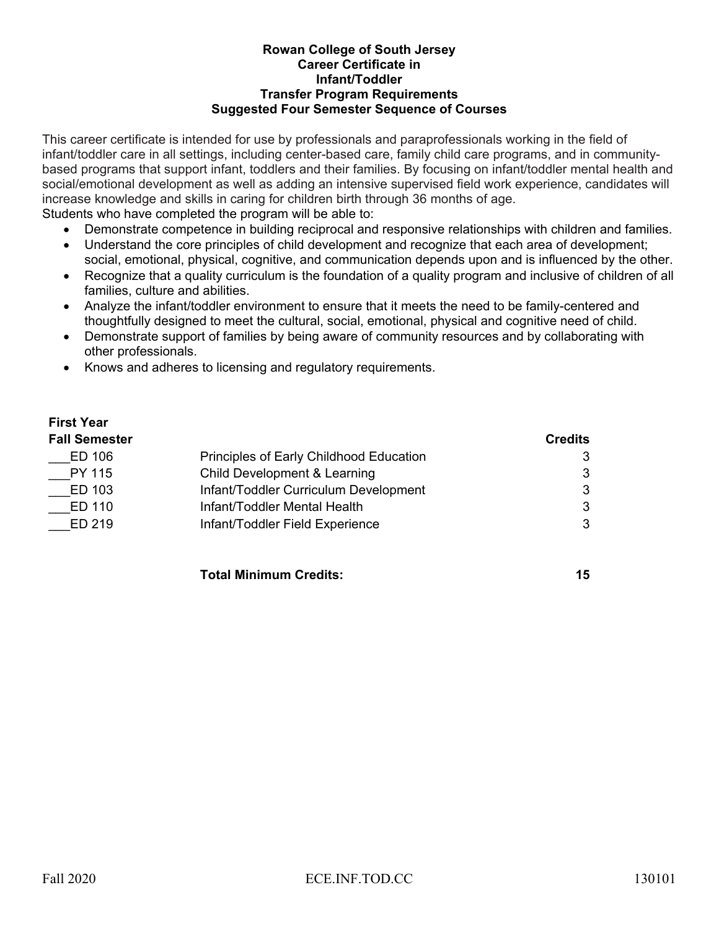#### **Rowan College of South Jersey Career Certificate in** **Infant/Toddler Transfer Program Requirements Suggested Four Semester Sequence of Courses**

This career certificate is intended for use by professionals and paraprofessionals working in the field of infant/toddler care in all settings, including center-based care, family child care programs, and in communitybased programs that support infant, toddlers and their families. By focusing on infant/toddler mental health and social/emotional development as well as adding an intensive supervised field work experience, candidates will increase knowledge and skills in caring for children birth through 36 months of age. Students who have completed the program will be able to:

- Demonstrate competence in building reciprocal and responsive relationships with children and families.
- Understand the core principles of child development and recognize that each area of development; social, emotional, physical, cognitive, and communication depends upon and is influenced by the other.
- Recognize that a quality curriculum is the foundation of a quality program and inclusive of children of all families, culture and abilities.
- Analyze the infant/toddler environment to ensure that it meets the need to be family-centered and thoughtfully designed to meet the cultural, social, emotional, physical and cognitive need of child.
- Demonstrate support of families by being aware of community resources and by collaborating with other professionals.
- Knows and adheres to licensing and regulatory requirements.

## **First Year Fall Semester Credits** ED 106 **Principles of Early Childhood Education** 3 PY 115 Child Development & Learning Contract and Supervisors of the Second Supervisors of the Second Supervisor ED 103 Infant/Toddler Curriculum Development 3 \_\_\_ED 110 Infant/Toddler Mental Health 3 ED 219 Infant/Toddler Field Experience 3

**Total Minimum Credits: 15**